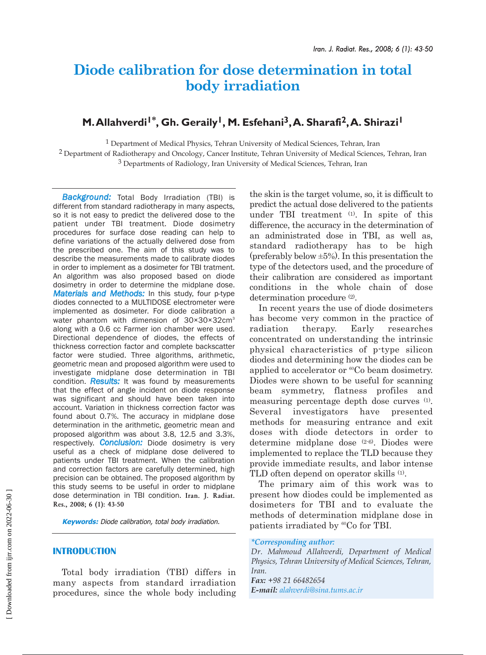# **Diode calibration for dose determination in total body irradiation**

# M. Allahverdi<sup>1\*</sup>, Gh. Geraily<sup>1</sup>, M. Esfehani<sup>3</sup>, A. Sharafi<sup>2</sup>, A. Shirazi<sup>1</sup>

1 Department of Medical Physics, Tehran University of Medical Sciences, Tehran, Iran

2 Department of Radiotherapy and Oncology, Cancer Institute, Tehran University of Medical Sciences, Tehran, Iran 3 Departments of Radiology, Iran University of Medical Sciences, Tehran, Iran

*Background:* Total Body Irradiation (TBI) is different from standard radiotherapy in many aspects, so it is not easy to predict the delivered dose to the patient under TBI treatment. Diode dosimetry procedures for surface dose reading can help to define variations of the actually delivered dose from the prescribed one. The aim of this study was to describe the measurements made to calibrate diodes in order to implement as a dosimeter for TBI tratment. An algorithm was also proposed based on diode dosimetry in order to determine the midplane dose. *Materials and Methods:* In this study, four p-type diodes connected to a MULTIDOSE electrometer were implemented as dosimeter. For diode calibration a water phantom with dimension of 30×30×32cm<sup>3</sup> along with a 0.6 cc Farmer ion chamber were used. Directional dependence of diodes, the effects of thickness correction factor and complete backscatter factor were studied. Three algorithms, arithmetic, geometric mean and proposed algorithm were used to investigate midplane dose determination in TBI condition. *Results:* It was found by measurements that the effect of angle incident on diode response was significant and should have been taken into account. Variation in thickness correction factor was found about 0.7%. The accuracy in midplane dose determination in the arithmetic, geometric mean and proposed algorithm was about 3.8, 12.5 and 3.3%, respectively. *Conclusion:* Diode dosimetry is very useful as a check of midplane dose delivered to patients under TBI treatment. When the calibration and correction factors are carefully determined, high precision can be obtained. The proposed algorithm by this study seems to be useful in order to midplane dose determination in TBI condition. **Iran. J. Radiat. Res., 2008; 6 (1): 43-50**

**Keywords:** Diode calibration, total body irradiation.

# **INTRODUCTION**

Total body irradiation (TBI) differs in many aspects from standard irradiation procedures, since the whole body including the skin is the target volume, so, it is difficult to predict the actual dose delivered to the patients under TBI treatment (1). In spite of this difference, the accuracy in the determination of an administrated dose in TBI, as well as, standard radiotherapy has to be high (preferably below  $\pm 5\%$ ). In this presentation the type of the detectors used, and the procedure of their calibration are considered as important conditions in the whole chain of dose determination procedure <sup>(2)</sup>.

In recent years the use of diode dosimeters has become very common in the practice of radiation therapy. Early researches concentrated on understanding the intrinsic physical characteristics of p-type silicon diodes and determining how the diodes can be applied to accelerator or <sup>60</sup>Co beam dosimetry. Diodes were shown to be useful for scanning beam symmetry, flatness profiles and measuring percentage depth dose curves (1). Several investigators have presented methods for measuring entrance and exit doses with diode detectors in order to determine midplane dose (2-6). Diodes were implemented to replace the TLD because they provide immediate results, and labor intense TLD often depend on operator skills (1).

The primary aim of this work was to present how diodes could be implemented as dosimeters for TBI and to evaluate the methods of determination midplane dose in patients irradiated by <sup>60</sup>Co for TBI.

#### *\*Corresponding author:*

*Dr. Mahmoud Allahverdi, Department of Medical Physics, Tehran University of Medical Sciences, Tehran, Iran. Fax: +98 21 66482654*

*E-mail: alahverdi@sina.tums.ac.ir*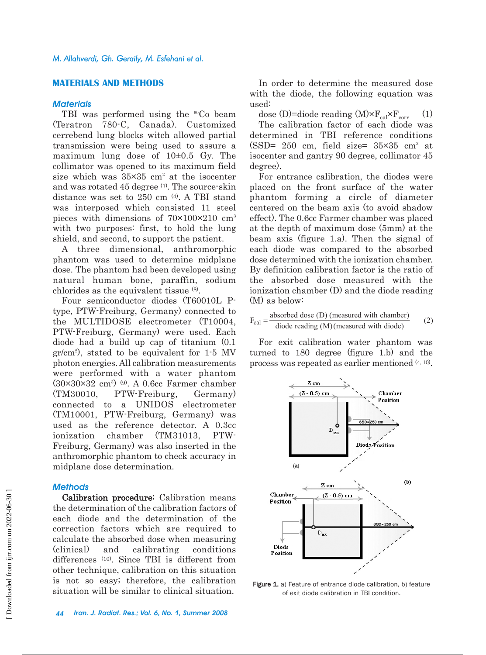# **MATERIALS AND METHODS**

#### *Materials*

TBI was performed using the <sup>60</sup>Co beam (Teratron 780-C, Canada). Customized cerrebend lung blocks witch allowed partial transmission were being used to assure a maximum lung dose of 10±0.5 Gy. The collimator was opened to its maximum field size which was  $35\times35$  cm<sup>2</sup> at the isocenter and was rotated 45 degree (7). The source-skin distance was set to 250 cm (4). A TBI stand was interposed which consisted 11 steel pieces with dimensions of 70×100×210 cm3 with two purposes: first, to hold the lung shield, and second, to support the patient.

A three dimensional, anthromorphic phantom was used to determine midplane dose. The phantom had been developed using natural human bone, paraffin, sodium chlorides as the equivalent tissue (8).

Four semiconductor diodes (T60010L Ptype, PTW-Freiburg, Germany) connected to the MULTIDOSE electrometer (T10004, PTW-Freiburg, Germany) were used. Each diode had a build up cap of titanium (0.1 gr/cm2 ), stated to be equivalent for 1-5 MV photon energies. All calibration measurements were performed with a water phantom  $(30\times30\times32 \text{ cm}^3)$  (9). A 0.6cc Farmer chamber (TM30010, PTW-Freiburg, Germany) connected to a UNIDOS electrometer (TM10001, PTW-Freiburg, Germany) was used as the reference detector. A 0.3cc ionization chamber (TM31013, PTW-Freiburg, Germany) was also inserted in the anthromorphic phantom to check accuracy in midplane dose determination.

#### *Methods*

Calibration procedure: Calibration means the determination of the calibration factors of each diode and the determination of the correction factors which are required to calculate the absorbed dose when measuring (clinical) and calibrating conditions differences (10). Since TBI is different from other technique, calibration on this situation is not so easy; therefore, the calibration situation will be similar to clinical situation.

In order to determine the measured dose with the diode, the following equation was used:

dose (D)=diode reading  $(M) \times F_{cal} \times F_{corr}$  (1)

The calibration factor of each diode was determined in TBI reference conditions (SSD=  $250$  cm, field size=  $35\times35$  cm<sup>2</sup> at isocenter and gantry 90 degree, collimator 45 degree).

For entrance calibration, the diodes were placed on the front surface of the water phantom forming a circle of diameter centered on the beam axis (to avoid shadow effect). The 0.6cc Farmer chamber was placed at the depth of maximum dose (5mm) at the beam axis (figure 1.a). Then the signal of each diode was compared to the absorbed dose determined with the ionization chamber. By definition calibration factor is the ratio of the absorbed dose measured with the ionization chamber (D) and the diode reading (M) as below:

$$
F_{\text{cal}} = \frac{\text{absorbed dose (D) (measured with chamber)}}{\text{diode reading (M) (measured with diode)}}\tag{2}
$$

For exit calibration water phantom was turned to 180 degree (figure 1.b) and the process was repeated as earlier mentioned (4, 10).



Figure 1. a) Feature of entrance diode calibration, b) feature of exit diode calibration in TBI condition.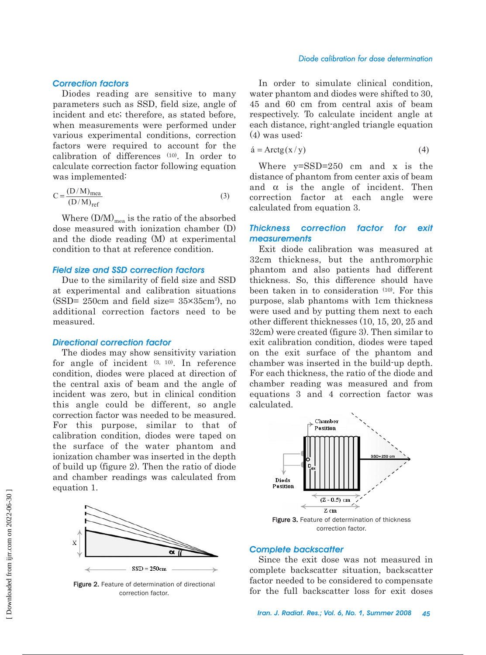# *Correction factors*

Diodes reading are sensitive to many parameters such as SSD, field size, angle of incident and etc; therefore, as stated before, when measurements were performed under various experimental conditions, correction factors were required to account for the calibration of differences (10). In order to calculate correction factor following equation was implemented:

$$
C = \frac{(D/M)_{\text{mea}}}{(D/M)_{\text{ref}}}
$$
 (3)

Where  $(D/M)_{\text{mea}}$  is the ratio of the absorbed dose measured with ionization chamber (D) and the diode reading (M) at experimental condition to that at reference condition.

#### *Field size and SSD correction factors*

Due to the similarity of field size and SSD at experimental and calibration situations  $(SSD = 250cm$  and field size=  $35 \times 35cm^2$ ), no additional correction factors need to be measured.

#### *Directional correction factor*

The diodes may show sensitivity variation for angle of incident (3, 10). In reference condition, diodes were placed at direction of the central axis of beam and the angle of incident was zero, but in clinical condition this angle could be different, so angle correction factor was needed to be measured. For this purpose, similar to that of calibration condition, diodes were taped on the surface of the water phantom and ionization chamber was inserted in the depth of build up (figure 2). Then the ratio of diode and chamber readings was calculated from equation 1.



Figure 2. Feature of determination of directional correction factor.

#### *Diode calibration for dose determination*

In order to simulate clinical condition, water phantom and diodes were shifted to 30. 45 and 60 cm from central axis of beam respectively. To calculate incident angle at each distance, right-angled triangle equation (4) was used:

$$
\acute{a} = \text{Arctg}(x/y) \tag{4}
$$

Where y=SSD=250 cm and x is the distance of phantom from center axis of beam and  $\alpha$  is the angle of incident. Then correction factor at each angle were calculated from equation 3.

# *Thickness correction factor for exit measurements*

Exit diode calibration was measured at 32cm thickness, but the anthromorphic phantom and also patients had different thickness. So, this difference should have been taken in to consideration (10). For this purpose, slab phantoms with 1cm thickness were used and by putting them next to each other different thicknesses (10, 15, 20, 25 and 32cm) were created (figure 3). Then similar to exit calibration condition, diodes were taped on the exit surface of the phantom and chamber was inserted in the build-up depth. For each thickness, the ratio of the diode and chamber reading was measured and from equations 3 and 4 correction factor was calculated.



correction factor.

#### *Complete backscatter*

Since the exit dose was not measured in complete backscatter situation, backscatter factor needed to be considered to compensate for the full backscatter loss for exit doses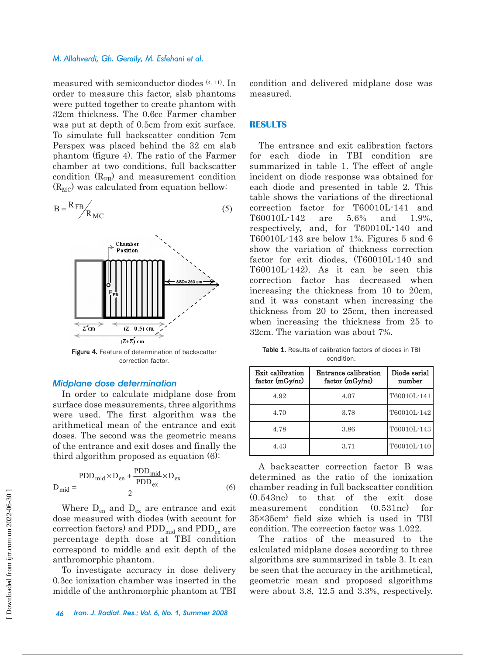#### *M. Allahverdi, Gh. Geraily, M. Esfehani et al.*

measured with semiconductor diodes (4, 11). In order to measure this factor, slab phantoms were putted together to create phantom with 32cm thickness. The 0.6cc Farmer chamber was put at depth of 0.5cm from exit surface. To simulate full backscatter condition 7cm Perspex was placed behind the 32 cm slab phantom (figure 4). The ratio of the Farmer chamber at two conditions, full backscatter condition  $(R<sub>FB</sub>)$  and measurement condition  $(R_{MC})$  was calculated from equation bellow:

$$
B = \frac{R_{FB}}{R_{MC}}
$$
 (5)



correction factor.

#### *Midplane dose determination*

In order to calculate midplane dose from surface dose measurements, three algorithms were used. The first algorithm was the arithmetical mean of the entrance and exit doses. The second was the geometric means of the entrance and exit doses and finally the third algorithm proposed as equation (6):

$$
D_{\text{mid}} = \frac{PDD_{\text{mid}} \times D_{\text{en}} + \frac{PDD_{\text{mid}}}{PDD_{\text{ex}}} \times D_{\text{ex}}}{2}
$$
(6)

Where  $D_{en}$  and  $D_{ex}$  are entrance and exit dose measured with diodes (with account for correction factors) and  $PDD_{mid}$  and  $PDD_{ex}$  are percentage depth dose at TBI condition correspond to middle and exit depth of the anthromorphic phantom.

To investigate accuracy in dose delivery 0.3cc ionization chamber was inserted in the middle of the anthromorphic phantom at TBI

condition and delivered midplane dose was measured.

# **RESULTS**

The entrance and exit calibration factors for each diode in TBI condition are summarized in table 1. The effect of angle incident on diode response was obtained for each diode and presented in table 2. This table shows the variations of the directional correction factor for T60010L-141 and T60010L-142 are 5.6% and 1.9%, respectively, and, for T60010L-140 and T60010L-143 are below 1%. Figures 5 and 6 show the variation of thickness correction factor for exit diodes, (T60010L-140 and T60010L-142). As it can be seen this correction factor has decreased when increasing the thickness from 10 to 20cm, and it was constant when increasing the thickness from 20 to 25cm, then increased when increasing the thickness from 25 to 32cm. The variation was about 7%.

Table 1. Results of calibration factors of diodes in TBI condition.

| Exit calibration<br>factor (mGy/nc) | Entrance calibration<br>factor (mGy/nc) | Diode serial<br>number |  |
|-------------------------------------|-----------------------------------------|------------------------|--|
| 4.92                                | 4.07                                    | T60010L-141            |  |
| 4.70                                | 3.78                                    | T60010L-142            |  |
| 4.78                                | 3.86                                    | T60010L-143            |  |
| 4.43                                | 3.71                                    | T60010L-140            |  |

A backscatter correction factor B was determined as the ratio of the ionization chamber reading in full backscatter condition (0.543nc) to that of the exit dose measurement condition (0.531nc) for 35×35cm2 field size which is used in TBI condition. The correction factor was 1.022.

The ratios of the measured to the calculated midplane doses according to three algorithms are summarized in table 3. It can be seen that the accuracy in the arithmetical, geometric mean and proposed algorithms were about 3.8, 12.5 and 3.3%, respectively.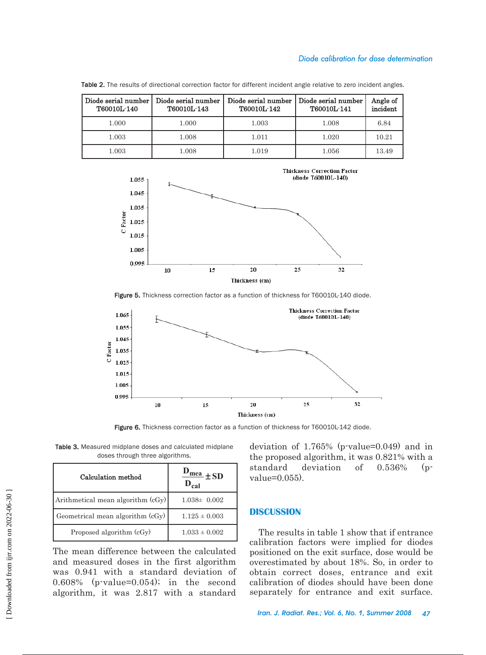# *Diode calibration for dose determination*

| Diode serial number<br>T60010L-140 | Diode serial number<br>T60010L-143 | Diode serial number<br>T60010L-142 | Diode serial number<br>T60010L-141 | Angle of<br>incident |
|------------------------------------|------------------------------------|------------------------------------|------------------------------------|----------------------|
| 1.000                              | 1.000                              | 1.003                              | 1.008                              | 6.84                 |
| 1.003                              | 1.008                              | 1.011                              | 1.020                              | 10.21                |
| $1.003\,$                          | 1.008                              | 1.019                              | 1.056                              | 13.49                |

Table 2. The results of directional correction factor for different incident angle relative to zero incident angles.



Figure 5. Thickness correction factor as a function of thickness for T60010L-140 diode.



Figure 6. Thickness correction factor as a function of thickness for T60010L-142 diode.

Table 3. Measured midplane doses and calculated midplane doses through three algorithms.

| Calculation method                | $\frac{mea}{\pm SD}$ |  |
|-----------------------------------|----------------------|--|
| Arithmetical mean algorithm (cGy) | $1.038 \pm 0.002$    |  |
| Geometrical mean algorithm (cGy)  | $1.125 \pm 0.003$    |  |
| Proposed algorithm (cGy)          | $1.033 \pm 0.002$    |  |

The mean difference between the calculated and measured doses in the first algorithm was 0.941 with a standard deviation of 0.608% (p-value=0.054); in the second algorithm, it was 2.817 with a standard deviation of 1.765% (p-value=0.049) and in the proposed algorithm, it was 0.821% with a standard deviation of 0.536% (pvalue=0.055).

#### **DISCUSSION**

The results in table 1 show that if entrance calibration factors were implied for diodes positioned on the exit surface, dose would be overestimated by about 18%. So, in order to obtain correct doses, entrance and exit calibration of diodes should have been done separately for entrance and exit surface.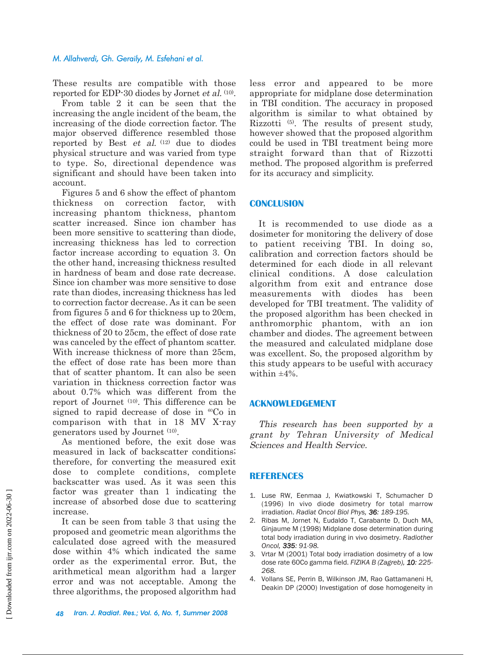#### *M. Allahverdi, Gh. Geraily, M. Esfehani et al.*

These results are compatible with those reported for EDP-30 diodes by Jornet et al. (10).

From table 2 it can be seen that the increasing the angle incident of the beam, the increasing of the diode correction factor. The major observed difference resembled those reported by Best *et al.*  $(12)$  due to diodes physical structure and was varied from type to type. So, directional dependence was significant and should have been taken into account.

Figures 5 and 6 show the effect of phantom thickness on correction factor, with increasing phantom thickness, phantom scatter increased. Since ion chamber has been more sensitive to scattering than diode, increasing thickness has led to correction factor increase according to equation 3. On the other hand, increasing thickness resulted in hardness of beam and dose rate decrease. Since ion chamber was more sensitive to dose rate than diodes, increasing thickness has led to correction factor decrease. As it can be seen from figures 5 and 6 for thickness up to 20cm, the effect of dose rate was dominant. For thickness of 20 to 25cm, the effect of dose rate was canceled by the effect of phantom scatter. With increase thickness of more than 25cm, the effect of dose rate has been more than that of scatter phantom. It can also be seen variation in thickness correction factor was about 0.7% which was different from the report of Journet (10). This difference can be signed to rapid decrease of dose in  ${}^{60}Co$  in comparison with that in 18 MV X-ray generators used by Journet (10).

As mentioned before, the exit dose was measured in lack of backscatter conditions; therefore, for converting the measured exit dose to complete conditions, complete backscatter was used. As it was seen this factor was greater than 1 indicating the increase of absorbed dose due to scattering increase.

It can be seen from table 3 that using the proposed and geometric mean algorithms the calculated dose agreed with the measured dose within 4% which indicated the same order as the experimental error. But, the arithmetical mean algorithm had a larger error and was not acceptable. Among the three algorithms, the proposed algorithm had

less error and appeared to be more appropriate for midplane dose determination in TBI condition. The accuracy in proposed algorithm is similar to what obtained by Rizzotti (5). The results of present study, however showed that the proposed algorithm could be used in TBI treatment being more straight forward than that of Rizzotti method. The proposed algorithm is preferred for its accuracy and simplicity.

#### **CONCLUSION**

It is recommended to use diode as a dosimeter for monitoring the delivery of dose to patient receiving TBI. In doing so, calibration and correction factors should be determined for each diode in all relevant clinical conditions. A dose calculation algorithm from exit and entrance dose measurements with diodes has been developed for TBI treatment. The validity of the proposed algorithm has been checked in anthromorphic phantom, with an ion chamber and diodes. The agreement between the measured and calculated midplane dose was excellent. So, the proposed algorithm by this study appears to be useful with accuracy within  $\pm 4\%$ .

#### **ACKNOWLEDGEMENT**

This research has been supported by a grant by Tehran University of Medical Sciences and Health Service.

# **REFERENCES**

- 1. Luse RW, Eenmaa J, Kwiatkowski T, Schumacher D (1996) In vivo diode dosimetry for total marrow irradiation. *Radiat Oncol Biol Phys, 36: 189-195.*
- 2. Ribas M, Jornet N, Eudaldo T, Carabante D, Duch MA, Ginjaume M (1998) Midplane dose determination during total body irradiation during in vivo dosimetry. *Radiother Oncol, 335: 91-98.*
- 3. Vrtar M (2001) Total body irradiation dosimetry of a low dose rate 60Co gamma field. *FIZIKA B (Zagreb), 10: 225- 268.*
- 4. Vollans SE, Perrin B, Wilkinson JM, Rao Gattamaneni H, Deakin DP (2000) Investigation of dose homogeneity in